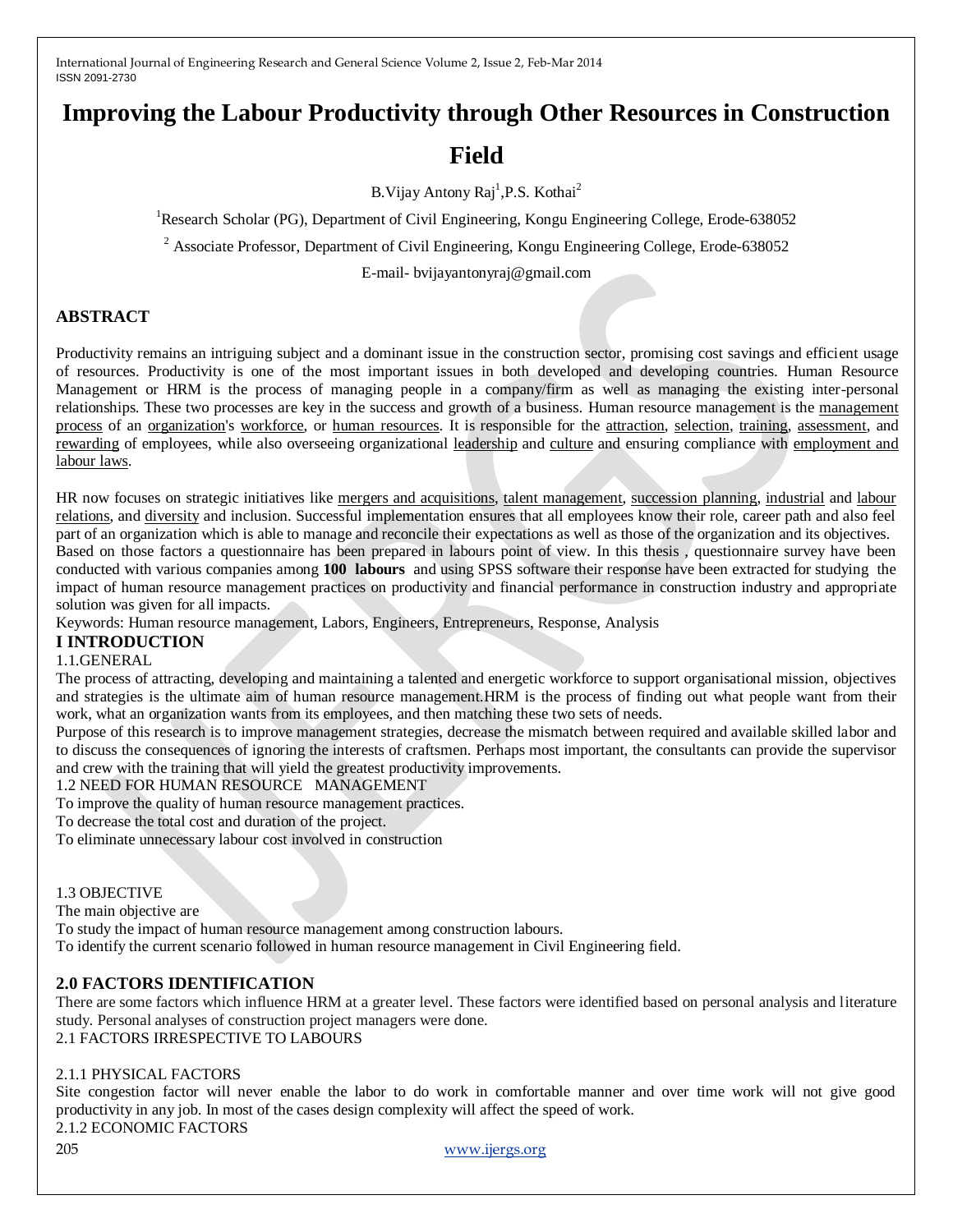# **Improving the Labour Productivity through Other Resources in Construction**

# **Field**

B. Vijay Antony Raj<sup>1</sup>, P.S. Kothai<sup>2</sup>

<sup>1</sup>Research Scholar (PG), Department of Civil Engineering, Kongu Engineering College, Erode-638052

<sup>2</sup> Associate Professor, Department of Civil Engineering, Kongu Engineering College, Erode-638052

E-mail- bvijayantonyraj@gmail.com

# **ABSTRACT**

Productivity remains an intriguing subject and a dominant issue in the construction sector, promising cost savings and efficient usage of resources. Productivity is one of the most important issues in both developed and developing countries. Human Resource Management or HRM is the process of managing people in a company/firm as well as managing the existing inter-personal relationships. These two processes are key in the success and growth of a business. Human resource management is the [management](http://en.wikipedia.org/wiki/Management)  [process](http://en.wikipedia.org/wiki/Management) of an [organization's](http://en.wikipedia.org/wiki/Organization) [workforce,](http://en.wikipedia.org/wiki/Workforce) or [human resources.](http://en.wikipedia.org/wiki/Human_resources) It is responsible for the [attraction,](http://en.wikipedia.org/wiki/Employer_branding) [selection,](http://en.wikipedia.org/wiki/Recruitment) [training,](http://en.wikipedia.org/wiki/Training_and_development) [assessment,](http://en.wikipedia.org/wiki/Performance_appraisal) and [rewarding](http://en.wikipedia.org/wiki/Remuneration) of employees, while also overseeing organizational [leadership](http://en.wikipedia.org/wiki/Leadership) and [culture](http://en.wikipedia.org/wiki/Organizational_culture) and ensuring compliance with [employment and](http://en.wikipedia.org/wiki/Labour_law)  [labour laws.](http://en.wikipedia.org/wiki/Labour_law) 

HR now focuses on strategic initiatives like [mergers and acquisitions,](http://en.wikipedia.org/wiki/Mergers_and_acquisitions) [talent management,](http://en.wikipedia.org/wiki/Talent_management) [succession planning,](http://en.wikipedia.org/wiki/Succession_planning) [industrial](http://en.wikipedia.org/wiki/Industrial_relations) and [labour](http://en.wikipedia.org/wiki/Labor_relations)  [relations,](http://en.wikipedia.org/wiki/Labor_relations) and [diversity](http://en.wikipedia.org/wiki/Multiculturalism) and inclusion. Successful implementation ensures that all employees know their role, career path and also feel part of an organization which is able to manage and reconcile their expectations as well as those of the organization and its objectives. Based on those factors a questionnaire has been prepared in labours point of view. In this thesis , questionnaire survey have been conducted with various companies among **100 labours** and using SPSS software their response have been extracted for studying the impact of human resource management practices on productivity and financial performance in construction industry and appropriate solution was given for all impacts.

Keywords: Human resource management, Labors, Engineers, Entrepreneurs, Response, Analysis

# **I INTRODUCTION**

#### 1.1.GENERAL

The process of attracting, developing and maintaining a talented and energetic workforce to support organisational mission, objectives and strategies is the ultimate aim of human resource management.HRM is the process of finding out what people want from their work, what an organization wants from its employees, and then matching these two sets of needs.

Purpose of this research is to improve management strategies, decrease the mismatch between required and available skilled labor and to discuss the consequences of ignoring the interests of craftsmen. Perhaps most important, the consultants can provide the supervisor and crew with the training that will yield the greatest productivity improvements.

1.2 NEED FOR HUMAN RESOURCE MANAGEMENT

To improve the quality of human resource management practices.

To decrease the total cost and duration of the project.

To eliminate unnecessary labour cost involved in construction

#### 1.3 OBJECTIVE

The main objective are

To study the impact of human resource management among construction labours. To identify the current scenario followed in human resource management in Civil Engineering field.

# **2.0 FACTORS IDENTIFICATION**

There are some factors which influence HRM at a greater level. These factors were identified based on personal analysis and literature study. Personal analyses of construction project managers were done. 2.1 FACTORS IRRESPECTIVE TO LABOURS

#### 2.1.1 PHYSICAL FACTORS

Site congestion factor will never enable the labor to do work in comfortable manner and over time work will not give good productivity in any job. In most of the cases design complexity will affect the speed of work.

2.1.2 ECONOMIC FACTORS

205 [www.ijergs.org](http://www.ijergs.org/)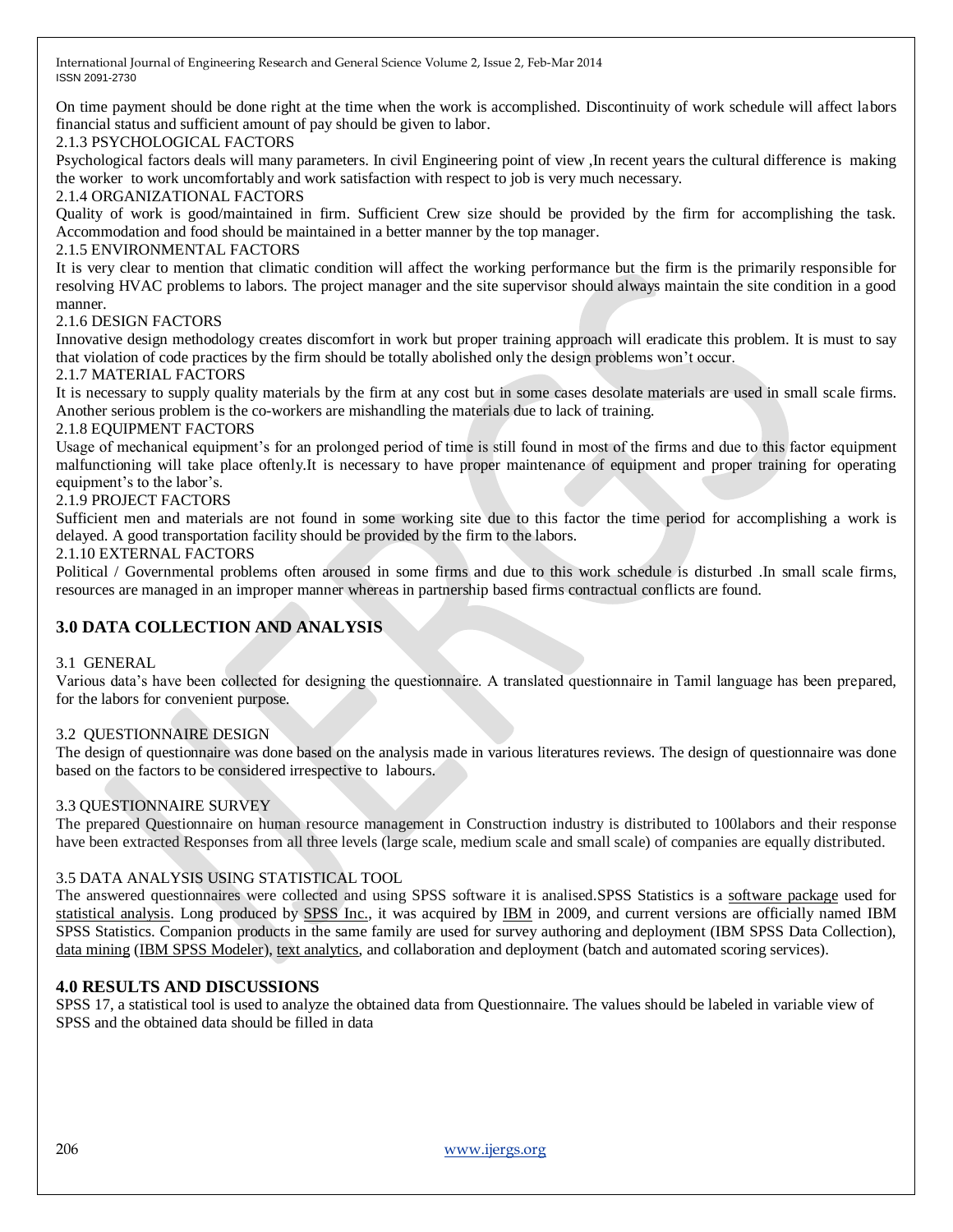On time payment should be done right at the time when the work is accomplished. Discontinuity of work schedule will affect labors financial status and sufficient amount of pay should be given to labor.

#### 2.1.3 PSYCHOLOGICAL FACTORS

Psychological factors deals will many parameters. In civil Engineering point of view ,In recent years the cultural difference is making the worker to work uncomfortably and work satisfaction with respect to job is very much necessary.

#### 2.1.4 ORGANIZATIONAL FACTORS

Quality of work is good/maintained in firm. Sufficient Crew size should be provided by the firm for accomplishing the task. Accommodation and food should be maintained in a better manner by the top manager.

#### 2.1.5 ENVIRONMENTAL FACTORS

It is very clear to mention that climatic condition will affect the working performance but the firm is the primarily responsible for resolving HVAC problems to labors. The project manager and the site supervisor should always maintain the site condition in a good manner.

#### 2.1.6 DESIGN FACTORS

Innovative design methodology creates discomfort in work but proper training approach will eradicate this problem. It is must to say that violation of code practices by the firm should be totally abolished only the design problems won't occur.

#### 2.1.7 MATERIAL FACTORS

It is necessary to supply quality materials by the firm at any cost but in some cases desolate materials are used in small scale firms. Another serious problem is the co-workers are mishandling the materials due to lack of training.

#### 2.1.8 EQUIPMENT FACTORS

Usage of mechanical equipment's for an prolonged period of time is still found in most of the firms and due to this factor equipment malfunctioning will take place oftenly.It is necessary to have proper maintenance of equipment and proper training for operating equipment's to the labor's.

#### 2.1.9 PROJECT FACTORS

Sufficient men and materials are not found in some working site due to this factor the time period for accomplishing a work is delayed. A good transportation facility should be provided by the firm to the labors.

#### 2.1.10 EXTERNAL FACTORS

Political / Governmental problems often aroused in some firms and due to this work schedule is disturbed .In small scale firms, resources are managed in an improper manner whereas in partnership based firms contractual conflicts are found.

# **3.0 DATA COLLECTION AND ANALYSIS**

#### 3.1 GENERAL

Various data's have been collected for designing the questionnaire. A translated questionnaire in Tamil language has been prepared, for the labors for convenient purpose.

#### 3.2 QUESTIONNAIRE DESIGN

The design of questionnaire was done based on the analysis made in various literatures reviews. The design of questionnaire was done based on the factors to be considered irrespective to labours.

#### 3.3 QUESTIONNAIRE SURVEY

The prepared Questionnaire on human resource management in Construction industry is distributed to 100labors and their response have been extracted Responses from all three levels (large scale, medium scale and small scale) of companies are equally distributed.

#### 3.5 DATA ANALYSIS USING STATISTICAL TOOL

The answered questionnaires were collected and using SPSS software it is analised.SPSS Statistics is a [software package](http://en.wikipedia.org/wiki/Computer_program) used for [statistical analysis.](http://en.wikipedia.org/wiki/Statistical_analysis) Long produced by [SPSS Inc.,](http://en.wikipedia.org/wiki/SPSS_Inc.) it was acquired by [IBM](http://en.wikipedia.org/wiki/IBM) in 2009, and current versions are officially named IBM SPSS Statistics. Companion products in the same family are used for survey authoring and deployment (IBM SPSS Data Collection), [data mining](http://en.wikipedia.org/wiki/Data_mining) [\(IBM SPSS Modeler\)](http://en.wikipedia.org/wiki/SPSS_Modeler)[, text analytics,](http://en.wikipedia.org/wiki/Text_mining) and collaboration and deployment (batch and automated scoring services).

#### **4.0 RESULTS AND DISCUSSIONS**

SPSS 17, a statistical tool is used to analyze the obtained data from Questionnaire. The values should be labeled in variable view of SPSS and the obtained data should be filled in data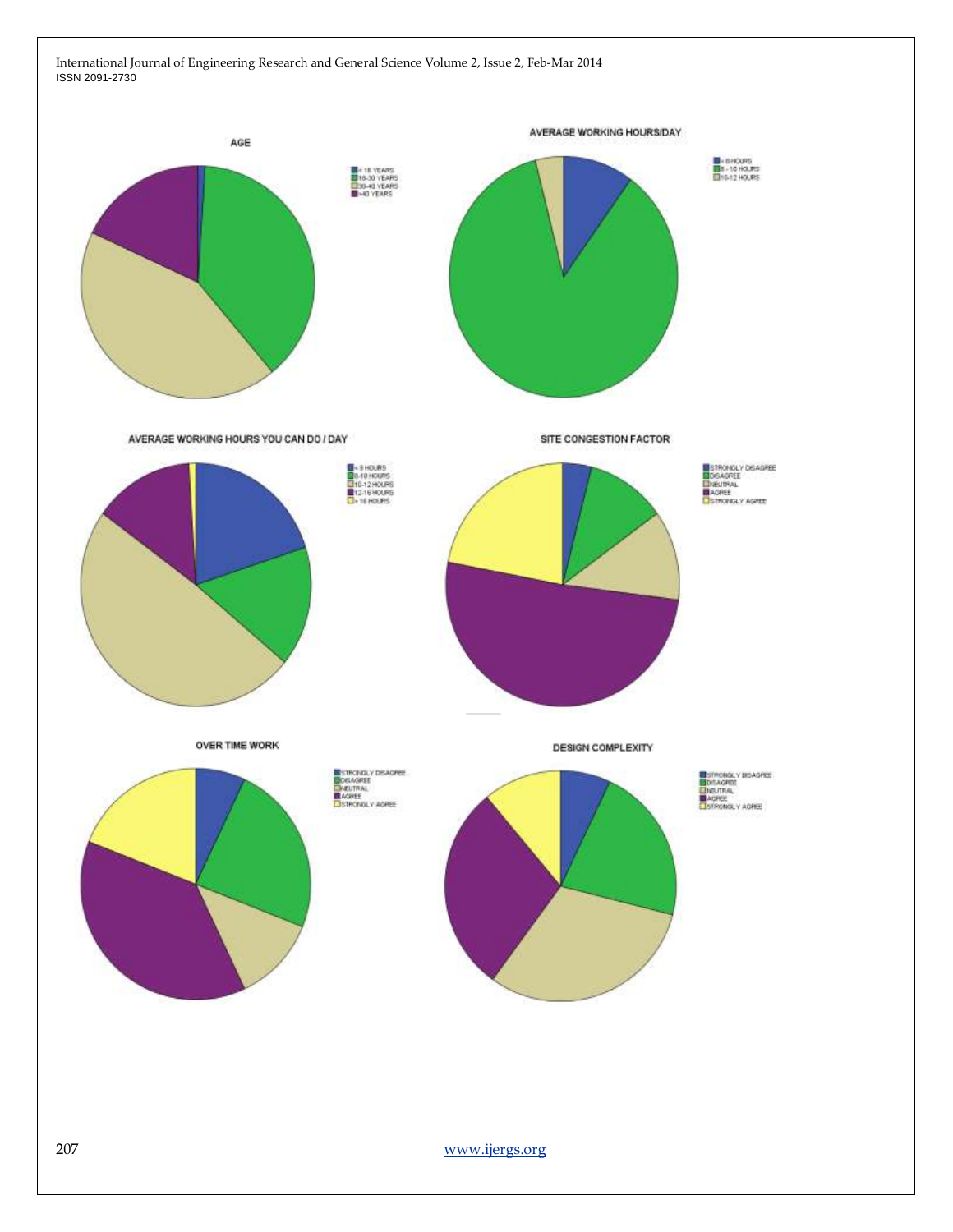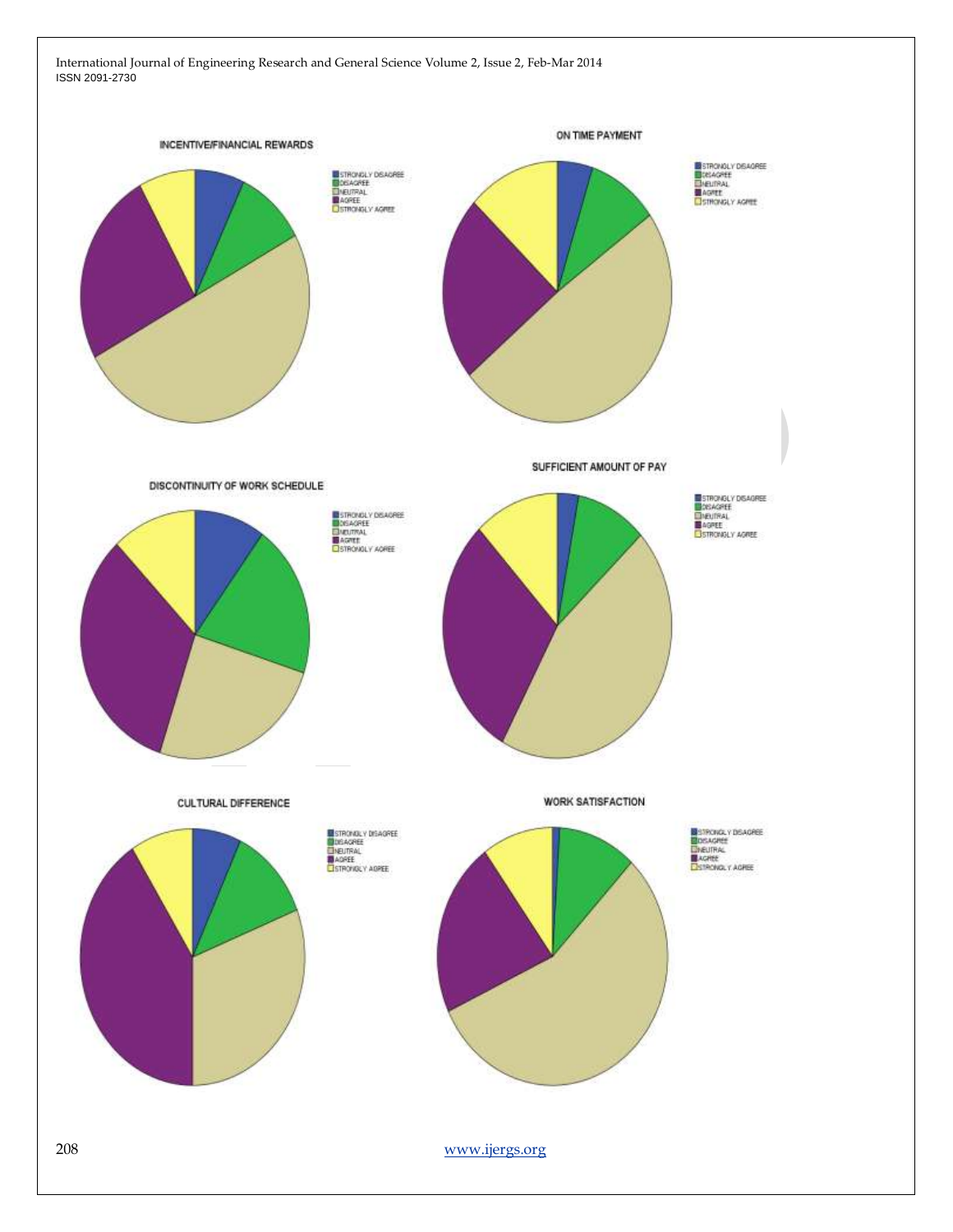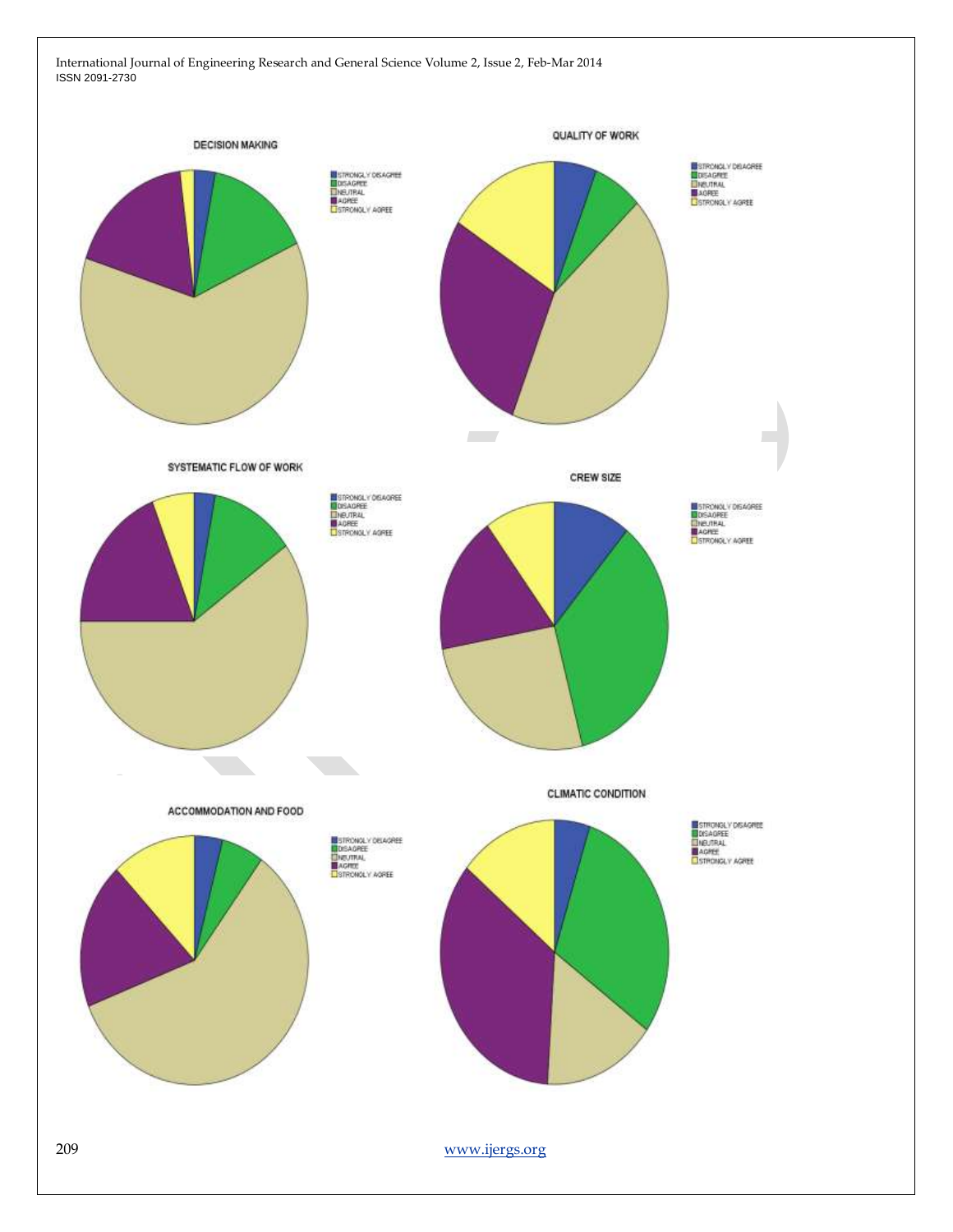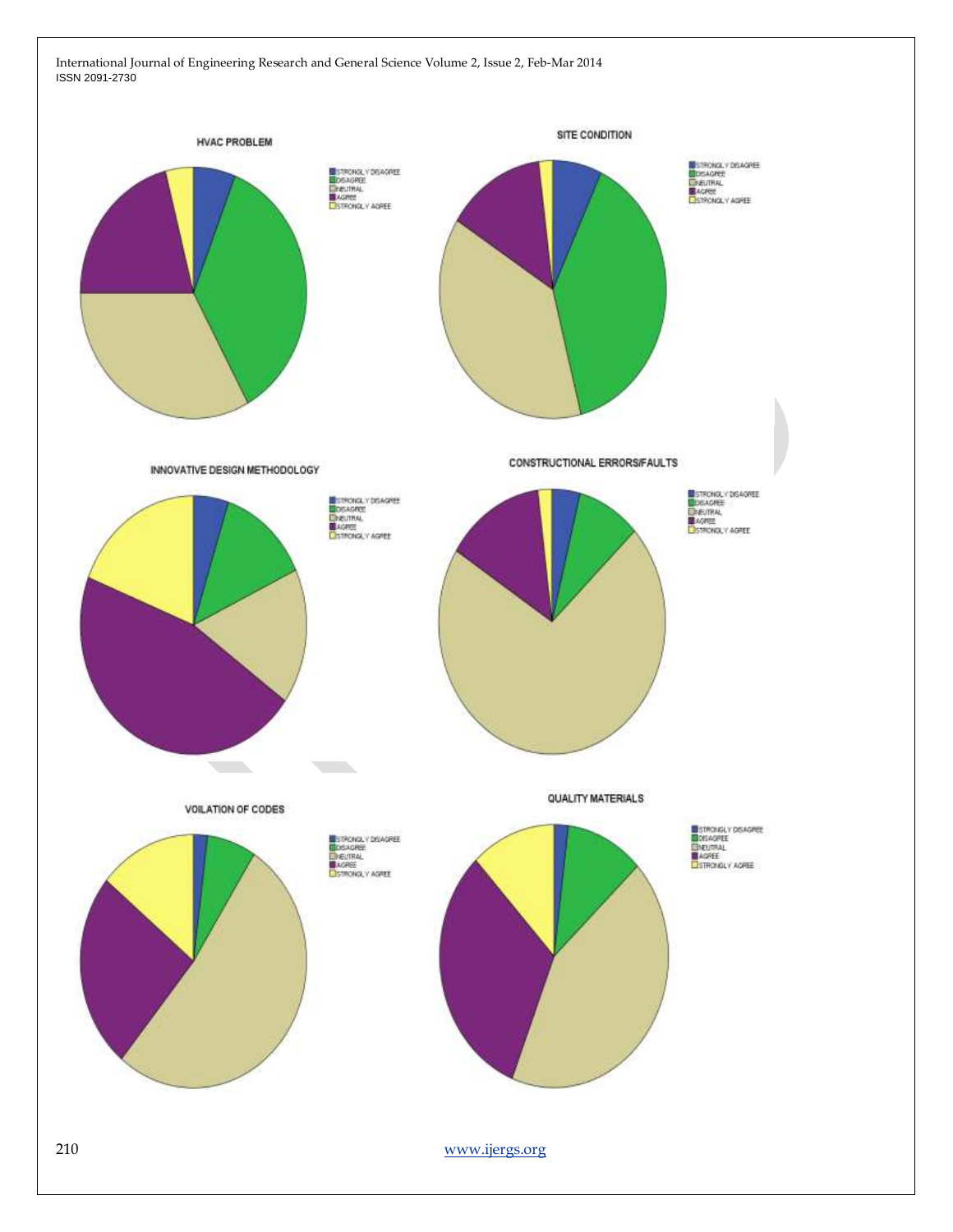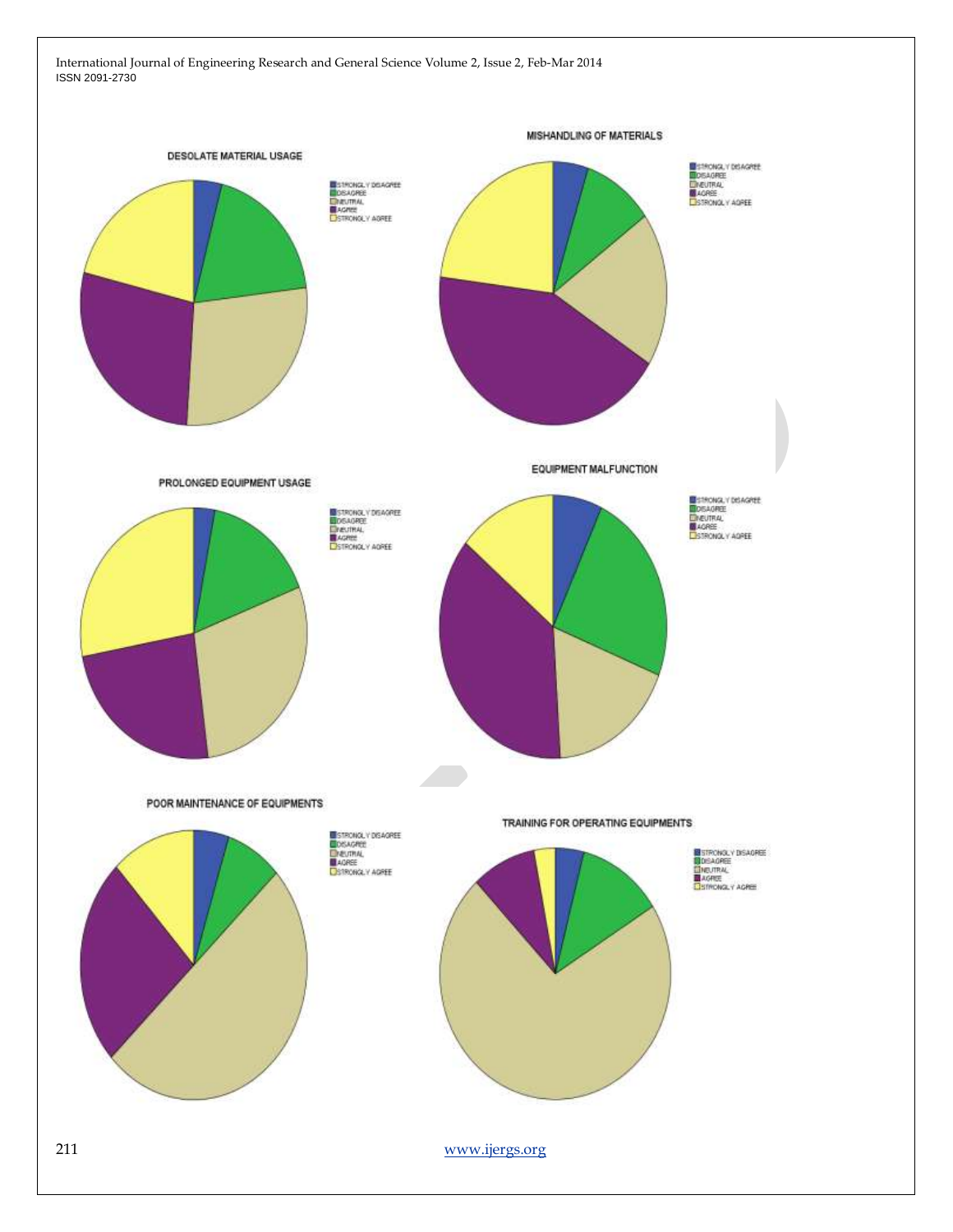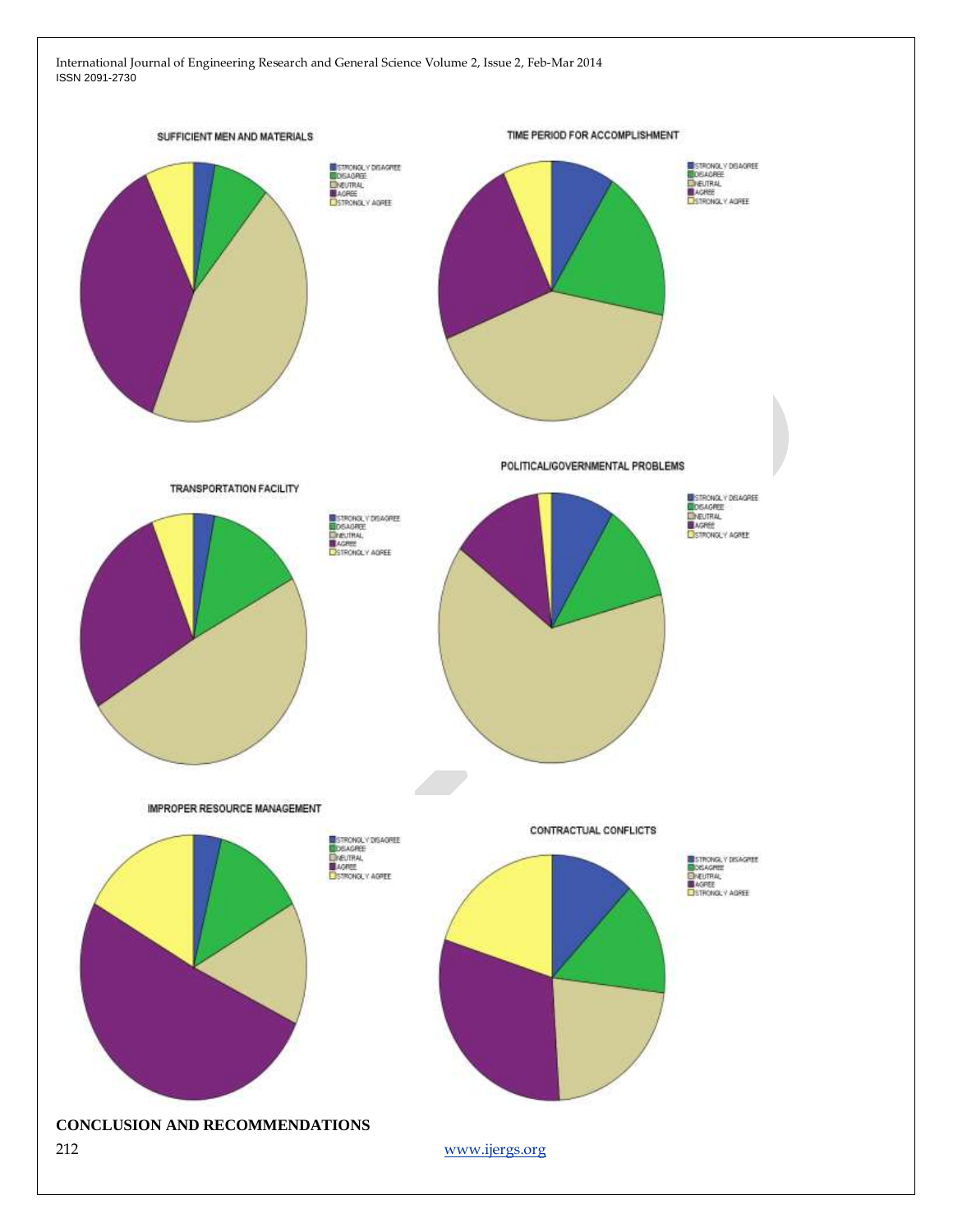